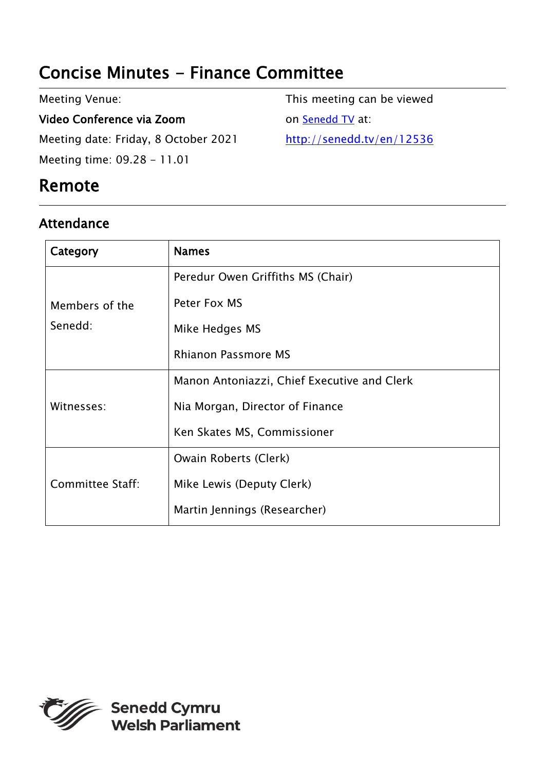# Concise Minutes - Finance Committee

Meeting Venue:

Video Conference via Zoom Meeting date: Friday, 8 October 2021 Meeting time: 09.28 - 11.01

## Remote

### Attendance

This meeting can be viewed on [Senedd TV](http://senedd.tv/) at: <http://senedd.tv/en/12536>

| Category                  | <b>Names</b>                                |
|---------------------------|---------------------------------------------|
| Members of the<br>Senedd: | Peredur Owen Griffiths MS (Chair)           |
|                           | Peter Fox MS                                |
|                           | Mike Hedges MS                              |
|                           | <b>Rhianon Passmore MS</b>                  |
| Witnesses:                | Manon Antoniazzi, Chief Executive and Clerk |
|                           | Nia Morgan, Director of Finance             |
|                           | Ken Skates MS, Commissioner                 |
| Committee Staff:          | Owain Roberts (Clerk)                       |
|                           | Mike Lewis (Deputy Clerk)                   |
|                           | Martin Jennings (Researcher)                |

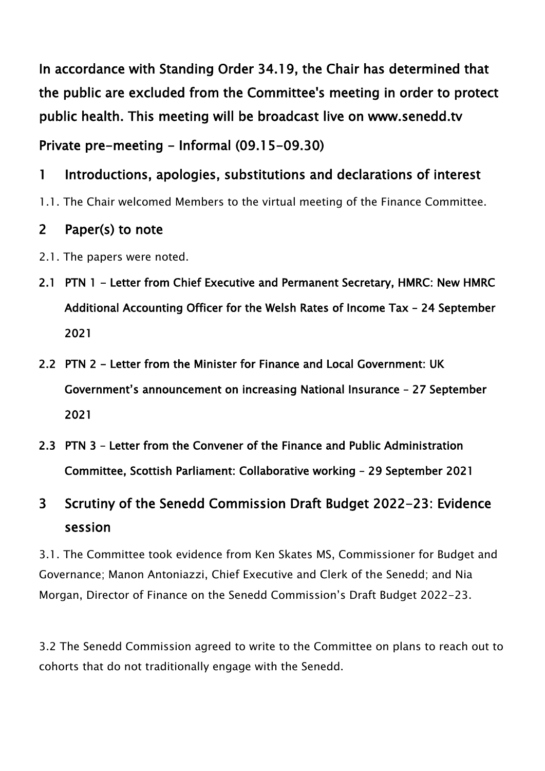In accordance with Standing Order 34.19, the Chair has determined that the public are excluded from the Committee's meeting in order to protect public health. This meeting will be broadcast live on www.senedd.tv

Private pre-meeting - Informal (09.15-09.30)

### 1 Introductions, apologies, substitutions and declarations of interest

1.1. The Chair welcomed Members to the virtual meeting of the Finance Committee.

#### 2 Paper(s) to note

- 2.1. The papers were noted.
- 2.1 PTN 1 Letter from Chief Executive and Permanent Secretary, HMRC: New HMRC Additional Accounting Officer for the Welsh Rates of Income Tax – 24 September 2021
- 2.2 PTN 2 Letter from the Minister for Finance and Local Government: UK Government's announcement on increasing National Insurance – 27 September 2021
- 2.3 PTN 3 Letter from the Convener of the Finance and Public Administration Committee, Scottish Parliament: Collaborative working – 29 September 2021

## 3 Scrutiny of the Senedd Commission Draft Budget 2022-23: Evidence session

3.1. The Committee took evidence from Ken Skates MS, Commissioner for Budget and Governance; Manon Antoniazzi, Chief Executive and Clerk of the Senedd; and Nia Morgan, Director of Finance on the Senedd Commission's Draft Budget 2022-23.

3.2 The Senedd Commission agreed to write to the Committee on plans to reach out to cohorts that do not traditionally engage with the Senedd.